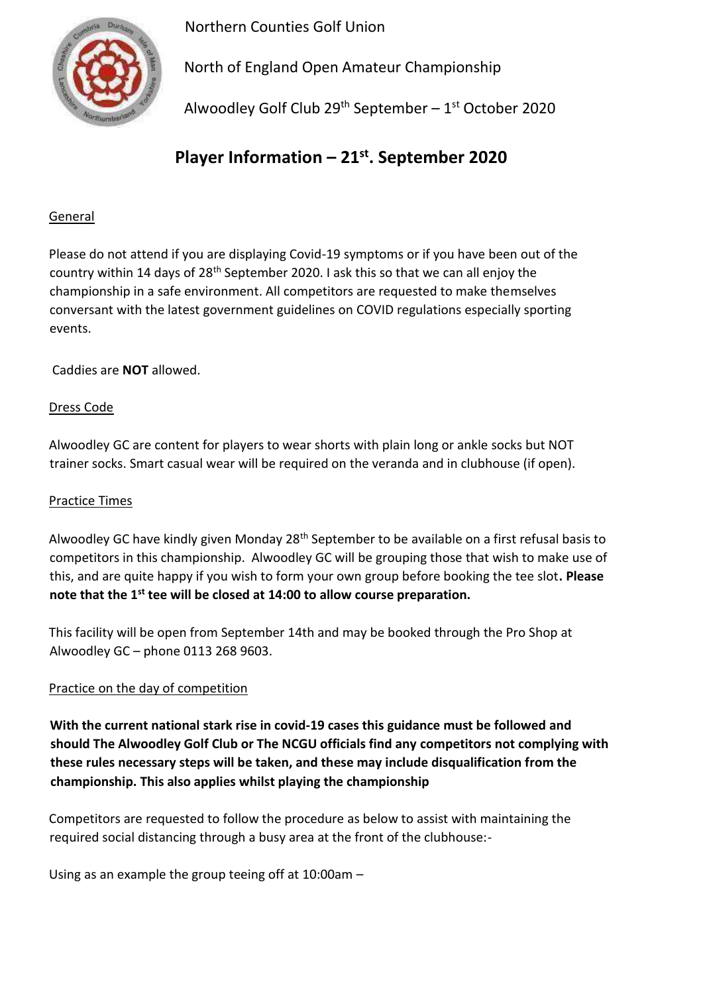Northern Counties Golf Union



North of England Open Amateur Championship

Alwoodley Golf Club  $29<sup>th</sup>$  September – 1<sup>st</sup> October 2020

# **Player Information – 21st . September 2020**

## General

Please do not attend if you are displaying Covid-19 symptoms or if you have been out of the country within 14 days of 28th September 2020. I ask this so that we can all enjoy the championship in a safe environment. All competitors are requested to make themselves conversant with the latest government guidelines on COVID regulations especially sporting events.

Caddies are **NOT** allowed.

## Dress Code

Alwoodley GC are content for players to wear shorts with plain long or ankle socks but NOT trainer socks. Smart casual wear will be required on the veranda and in clubhouse (if open).

### Practice Times

Alwoodley GC have kindly given Monday 28<sup>th</sup> September to be available on a first refusal basis to competitors in this championship. Alwoodley GC will be grouping those that wish to make use of this, and are quite happy if you wish to form your own group before booking the tee slot**. Please note that the 1st tee will be closed at 14:00 to allow course preparation.** 

This facility will be open from September 14th and may be booked through the Pro Shop at Alwoodley GC – phone 0113 268 9603.

## Practice on the day of competition

**With the current national stark rise in covid-19 cases this guidance must be followed and should The Alwoodley Golf Club or The NCGU officials find any competitors not complying with these rules necessary steps will be taken, and these may include disqualification from the championship. This also applies whilst playing the championship**

Competitors are requested to follow the procedure as below to assist with maintaining the required social distancing through a busy area at the front of the clubhouse:-

Using as an example the group teeing off at 10:00am –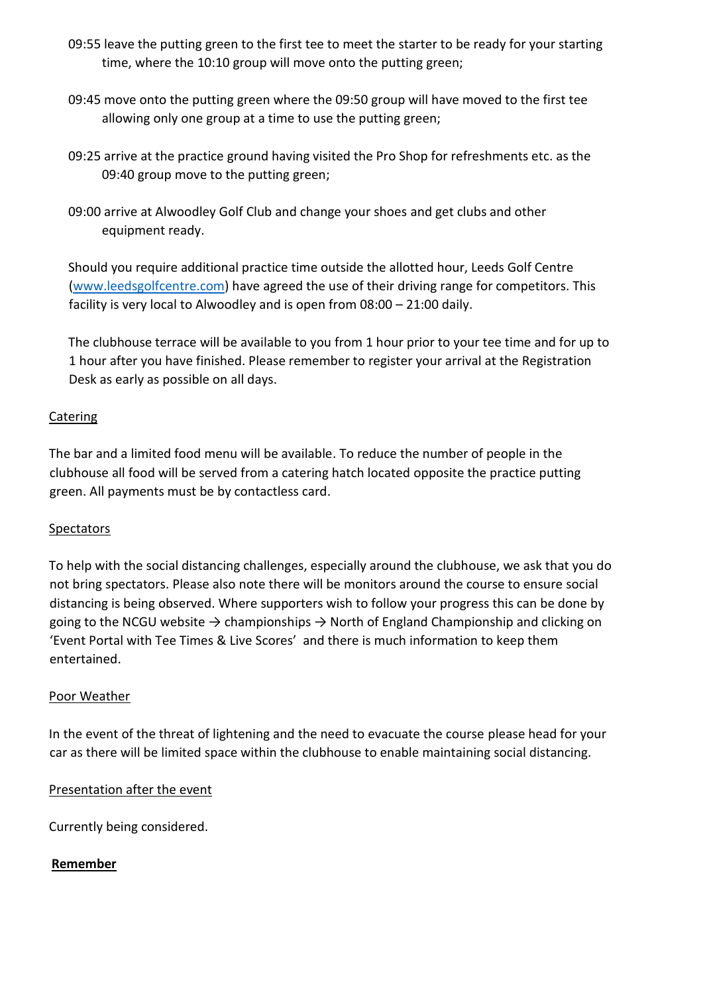- 09:55 leave the putting green to the first tee to meet the starter to be ready for your starting time, where the 10:10 group will move onto the putting green;
- 09:45 move onto the putting green where the 09:50 group will have moved to the first tee allowing only one group at a time to use the putting green;
- 09:25 arrive at the practice ground having visited the Pro Shop for refreshments etc. as the 09:40 group move to the putting green;
- 09:00 arrive at Alwoodley Golf Club and change your shoes and get clubs and other equipment ready.

Should you require additional practice time outside the allotted hour, Leeds Golf Centre [\(www.leedsgolfcentre.com\)](http://www.leedsgolfcentre.com/) have agreed the use of their driving range for competitors. This facility is very local to Alwoodley and is open from 08:00 – 21:00 daily.

The clubhouse terrace will be available to you from 1 hour prior to your tee time and for up to 1 hour after you have finished. Please remember to register your arrival at the Registration Desk as early as possible on all days.

#### Catering

The bar and a limited food menu will be available. To reduce the number of people in the clubhouse all food will be served from a catering hatch located opposite the practice putting green. All payments must be by contactless card.

## **Spectators**

To help with the social distancing challenges, especially around the clubhouse, we ask that you do not bring spectators. Please also note there will be monitors around the course to ensure social distancing is being observed. Where supporters wish to follow your progress this can be done by going to the NCGU website  $\rightarrow$  championships  $\rightarrow$  North of England Championship and clicking on 'Event Portal with Tee Times & Live Scores' and there is much information to keep them entertained.

#### Poor Weather

In the event of the threat of lightening and the need to evacuate the course please head for your car as there will be limited space within the clubhouse to enable maintaining social distancing.

## Presentation after the event

Currently being considered.

## **Remember**